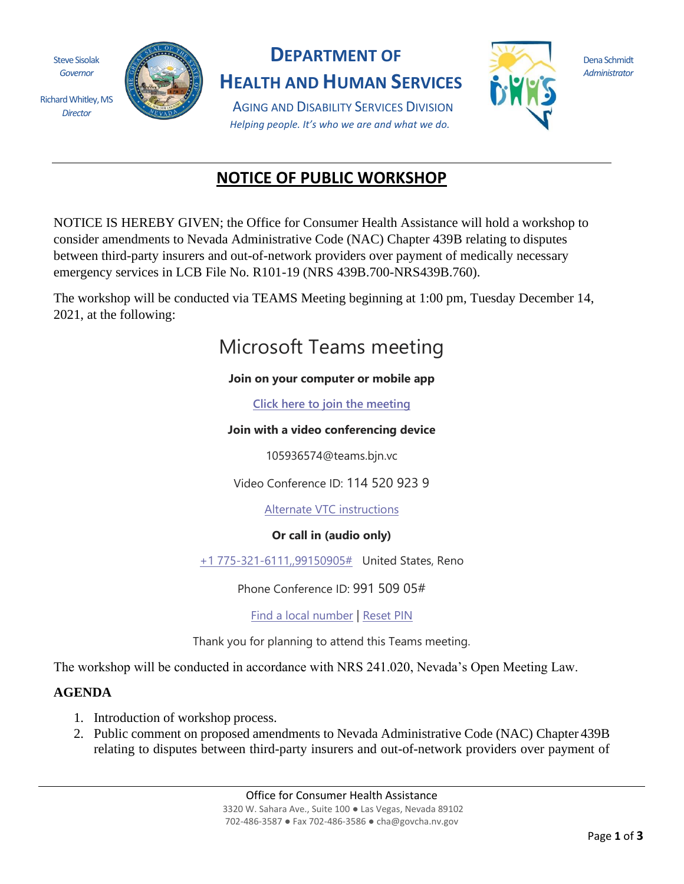Steve Sisolak *Governor*

Richard Whitley, MS *Director*



## **DEPARTMENT OF**

**HEALTH AND HUMAN SERVICES**

AGING AND DISABILITY SERVICES DIVISION *Helping people. It's who we are and what we do.*



Dena Schmidt *Administrator*

# **NOTICE OF PUBLIC WORKSHOP**

NOTICE IS HEREBY GIVEN; the Office for Consumer Health Assistance will hold a workshop to consider amendments to Nevada Administrative Code (NAC) Chapter 439B relating to disputes between third-party insurers and out-of-network providers over payment of medically necessary emergency services in LCB File No. R101-19 (NRS 439B.700-NRS439B.760).

The workshop will be conducted via TEAMS Meeting beginning at 1:00 pm, Tuesday December 14, 2021, at the following:

# Microsoft Teams meeting

#### **Join on your computer or mobile app**

**[Click here to join the meeting](https://teams.microsoft.com/l/meetup-join/19%3ameeting_YzQxMDgzNDEtOTY3Yy00NWRhLTljMDMtZDgzM2QzN2JkYTEz%40thread.v2/0?context=%7b%22Tid%22%3a%22e4a340e6-b89e-4e68-8eaa-1544d2703980%22%2c%22Oid%22%3a%22281beaf7-5f6a-4d14-ab19-b95319030162%22%7d)**

#### **Join with a video conferencing device**

105936574@teams.bjn.vc

Video Conference ID: 114 520 923 9

[Alternate VTC instructions](https://dialin.bluejeans.com/teams?key=105936574&conf=1145209239&domain=teams.bjn.vc)

### **Or call in (audio only)**

[+1 775-321-6111,,99150905#](tel:+17753216111,,99150905# ) United States, Reno

Phone Conference ID: 991 509 05#

[Find a local number](https://dialin.teams.microsoft.com/1ef7fc5c-3859-4a06-ba30-c622c05e60f9?id=99150905) | [Reset PIN](https://mysettings.lync.com/pstnconferencing)

Thank you for planning to attend this Teams meeting.

The workshop will be conducted in accordance with NRS 241.020, Nevada's Open Meeting Law.

## **AGENDA**

- 1. Introduction of workshop process.
- 2. Public comment on proposed amendments to Nevada Administrative Code (NAC) Chapter 439B relating to disputes between third-party insurers and out-of-network providers over payment of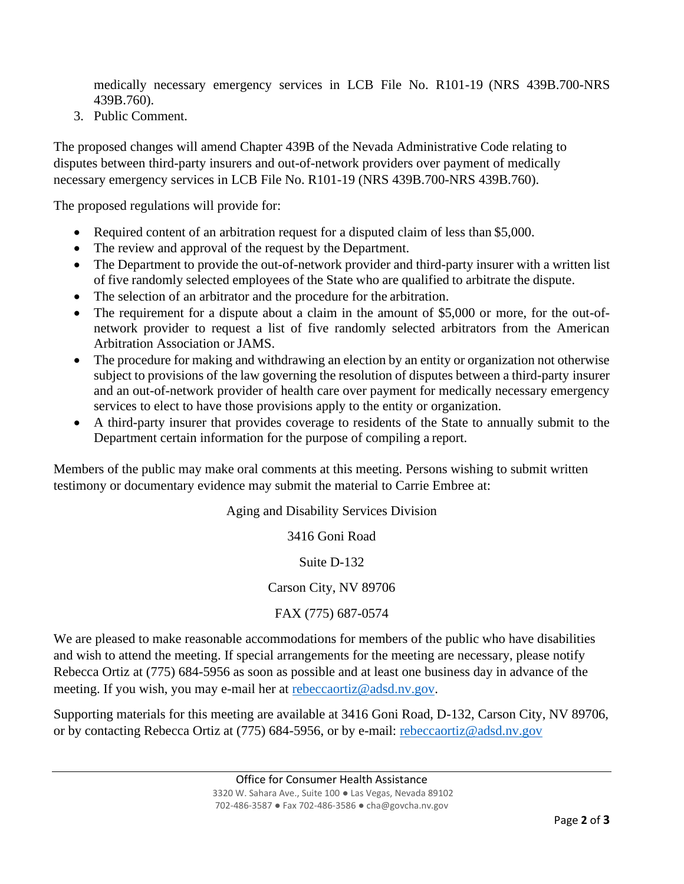medically necessary emergency services in LCB File No. R101-19 (NRS 439B.700-NRS 439B.760).

3. Public Comment.

The proposed changes will amend Chapter 439B of the Nevada Administrative Code relating to disputes between third-party insurers and out-of-network providers over payment of medically necessary emergency services in LCB File No. R101-19 (NRS 439B.700-NRS 439B.760).

The proposed regulations will provide for:

- Required content of an arbitration request for a disputed claim of less than \$5,000.
- The review and approval of the request by the Department.
- The Department to provide the out-of-network provider and third-party insurer with a written list of five randomly selected employees of the State who are qualified to arbitrate the dispute.
- The selection of an arbitrator and the procedure for the arbitration.
- The requirement for a dispute about a claim in the amount of \$5,000 or more, for the out-ofnetwork provider to request a list of five randomly selected arbitrators from the American Arbitration Association or JAMS.
- The procedure for making and withdrawing an election by an entity or organization not otherwise subject to provisions of the law governing the resolution of disputes between a third-party insurer and an out-of-network provider of health care over payment for medically necessary emergency services to elect to have those provisions apply to the entity or organization.
- A third-party insurer that provides coverage to residents of the State to annually submit to the Department certain information for the purpose of compiling a report.

Members of the public may make oral comments at this meeting. Persons wishing to submit written testimony or documentary evidence may submit the material to Carrie Embree at:

Aging and Disability Services Division

3416 Goni Road

Suite D-132

Carson City, NV 89706

FAX (775) 687-0574

We are pleased to make reasonable accommodations for members of the public who have disabilities and wish to attend the meeting. If special arrangements for the meeting are necessary, please notify Rebecca Ortiz at (775) 684-5956 as soon as possible and at least one business day in advance of the meeting. If you wish, you may e-mail her at [rebeccaortiz@adsd.nv.gov.](mailto:rebeccaortiz@adsd.nv.gov)

Supporting materials for this meeting are available at 3416 Goni Road, D-132, Carson City, NV 89706, or by contacting Rebecca Ortiz at (775) 684-5956, or by e-mail: [rebeccaortiz@adsd.nv.gov](mailto:rebeccaortiz@adsd.nv.gov)